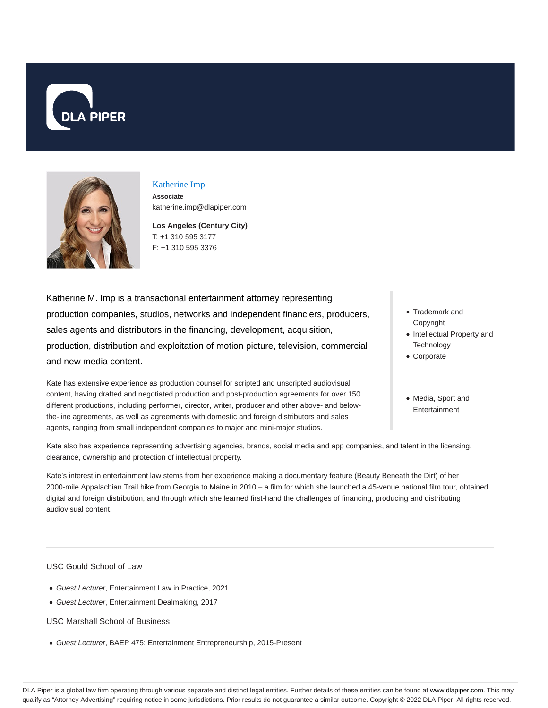



# Katherine Imp

**Associate** katherine.imp@dlapiper.com

**Los Angeles (Century City)** T: +1 310 595 3177 F: +1 310 595 3376

Katherine M. Imp is a transactional entertainment attorney representing production companies, studios, networks and independent financiers, producers, sales agents and distributors in the financing, development, acquisition, production, distribution and exploitation of motion picture, television, commercial and new media content.

Kate has extensive experience as production counsel for scripted and unscripted audiovisual content, having drafted and negotiated production and post-production agreements for over 150 different productions, including performer, director, writer, producer and other above- and belowthe-line agreements, as well as agreements with domestic and foreign distributors and sales agents, ranging from small independent companies to major and mini-major studios.

- Trademark and Copyright
- Intellectual Property and **Technology**
- Corporate
- Media, Sport and Entertainment

Kate also has experience representing advertising agencies, brands, social media and app companies, and talent in the licensing, clearance, ownership and protection of intellectual property.

Kate's interest in entertainment law stems from her experience making a documentary feature (Beauty Beneath the Dirt) of her 2000-mile Appalachian Trail hike from Georgia to Maine in 2010 – a film for which she launched a 45-venue national film tour, obtained digital and foreign distribution, and through which she learned first-hand the challenges of financing, producing and distributing audiovisual content.

USC Gould School of Law

- Guest Lecturer, Entertainment Law in Practice, 2021
- Guest Lecturer, Entertainment Dealmaking, 2017

USC Marshall School of Business

Guest Lecturer, BAEP 475: Entertainment Entrepreneurship, 2015-Present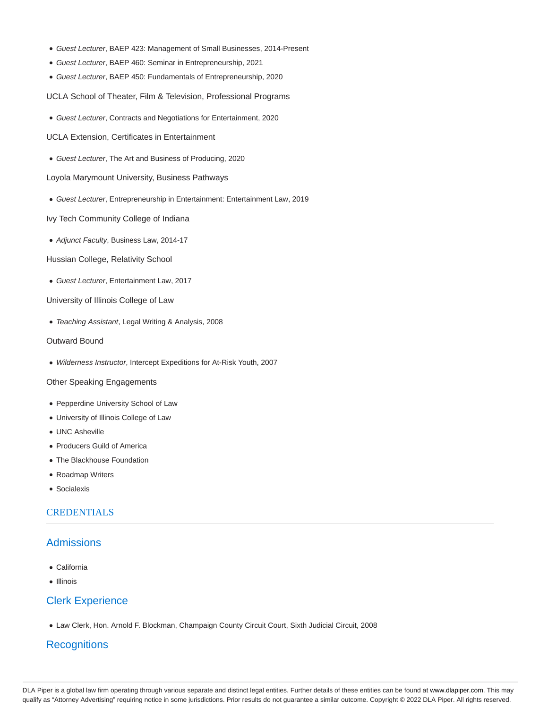- Guest Lecturer, BAEP 423: Management of Small Businesses, 2014-Present
- Guest Lecturer, BAEP 460: Seminar in Entrepreneurship, 2021
- Guest Lecturer, BAEP 450: Fundamentals of Entrepreneurship, 2020

UCLA School of Theater, Film & Television, Professional Programs

Guest Lecturer, Contracts and Negotiations for Entertainment, 2020

UCLA Extension, Certificates in Entertainment

Guest Lecturer, The Art and Business of Producing, 2020

Loyola Marymount University, Business Pathways

Guest Lecturer, Entrepreneurship in Entertainment: Entertainment Law, 2019

Ivy Tech Community College of Indiana

• Adjunct Faculty, Business Law, 2014-17

Hussian College, Relativity School

Guest Lecturer, Entertainment Law, 2017

University of Illinois College of Law

Teaching Assistant, Legal Writing & Analysis, 2008

### Outward Bound

Wilderness Instructor, Intercept Expeditions for At-Risk Youth, 2007

#### Other Speaking Engagements

- Pepperdine University School of Law
- University of Illinois College of Law
- UNC Asheville
- Producers Guild of America
- The Blackhouse Foundation
- Roadmap Writers
- Socialexis

# **CREDENTIALS**

# Admissions

- California
- Illinois

### Clerk Experience

Law Clerk, Hon. Arnold F. Blockman, Champaign County Circuit Court, Sixth Judicial Circuit, 2008

# **Recognitions**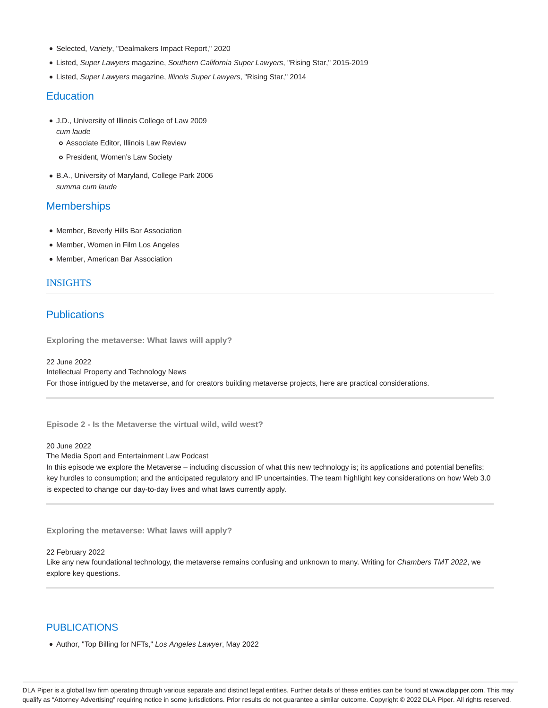- Selected, Variety, "Dealmakers Impact Report," 2020
- Listed, Super Lawyers magazine, Southern California Super Lawyers, "Rising Star," 2015-2019
- Listed, Super Lawyers magazine, Illinois Super Lawyers, "Rising Star," 2014

# **Education**

- J.D., University of Illinois College of Law 2009 cum laude
	- Associate Editor, Illinois Law Review
	- o President, Women's Law Society
- B.A., University of Maryland, College Park 2006 summa cum laude

# **Memberships**

- Member, Beverly Hills Bar Association
- Member, Women in Film Los Angeles
- Member, American Bar Association

### INSIGHTS

# **Publications**

**Exploring the metaverse: What laws will apply?**

22 June 2022 Intellectual Property and Technology News For those intrigued by the metaverse, and for creators building metaverse projects, here are practical considerations.

**Episode 2 - Is the Metaverse the virtual wild, wild west?**

20 June 2022

The Media Sport and Entertainment Law Podcast

In this episode we explore the Metaverse – including discussion of what this new technology is; its applications and potential benefits; key hurdles to consumption; and the anticipated regulatory and IP uncertainties. The team highlight key considerations on how Web 3.0 is expected to change our day-to-day lives and what laws currently apply.

**Exploring the metaverse: What laws will apply?**

22 February 2022

Like any new foundational technology, the metaverse remains confusing and unknown to many. Writing for Chambers TMT 2022, we explore key questions.

# PUBLICATIONS

• Author, "Top Billing for NFTs," Los Angeles Lawyer, May 2022

DLA Piper is a global law firm operating through various separate and distinct legal entities. Further details of these entities can be found at www.dlapiper.com. This may qualify as "Attorney Advertising" requiring notice in some jurisdictions. Prior results do not guarantee a similar outcome. Copyright © 2022 DLA Piper. All rights reserved.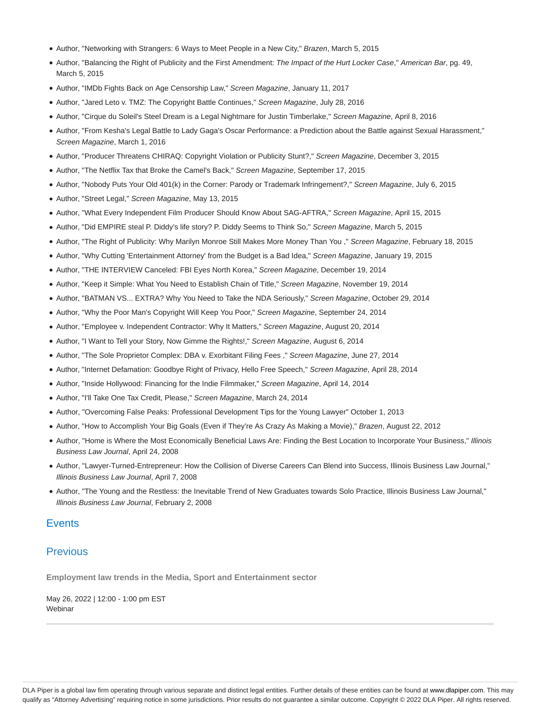- Author, "Networking with Strangers: 6 Ways to Meet People in a New City," Brazen, March 5, 2015
- Author, "Balancing the Right of Publicity and the First Amendment: The Impact of the Hurt Locker Case," American Bar, pg. 49, March 5, 2015
- Author, "IMDb Fights Back on Age Censorship Law," Screen Magazine, January 11, 2017
- Author, "Jared Leto v. TMZ: The Copyright Battle Continues," Screen Magazine, July 28, 2016
- Author, "Cirque du Soleil's Steel Dream is a Legal Nightmare for Justin Timberlake," Screen Magazine, April 8, 2016
- Author, "From Kesha's Legal Battle to Lady Gaga's Oscar Performance: a Prediction about the Battle against Sexual Harassment," Screen Magazine, March 1, 2016
- Author, "Producer Threatens CHIRAQ: Copyright Violation or Publicity Stunt?," Screen Magazine, December 3, 2015
- Author, "The Netflix Tax that Broke the Camel's Back," Screen Magazine, September 17, 2015
- Author, "Nobody Puts Your Old 401(k) in the Corner: Parody or Trademark Infringement?," Screen Magazine, July 6, 2015
- Author, "Street Legal," Screen Magazine, May 13, 2015
- Author, "What Every Independent Film Producer Should Know About SAG-AFTRA," Screen Magazine, April 15, 2015
- Author, "Did EMPIRE steal P. Diddy's life story? P. Diddy Seems to Think So," Screen Magazine, March 5, 2015
- Author, "The Right of Publicity: Why Marilyn Monroe Still Makes More Money Than You ," Screen Magazine, February 18, 2015
- Author, "Why Cutting 'Entertainment Attorney' from the Budget is a Bad Idea," Screen Magazine, January 19, 2015
- Author, "THE INTERVIEW Canceled: FBI Eyes North Korea," Screen Magazine, December 19, 2014
- Author, "Keep it Simple: What You Need to Establish Chain of Title," Screen Magazine, November 19, 2014
- Author, "BATMAN VS... EXTRA? Why You Need to Take the NDA Seriously," Screen Magazine, October 29, 2014
- Author, "Why the Poor Man's Copyright Will Keep You Poor," Screen Magazine, September 24, 2014
- Author, "Employee v. Independent Contractor: Why It Matters," Screen Magazine, August 20, 2014
- Author, "I Want to Tell your Story, Now Gimme the Rights!," Screen Magazine, August 6, 2014
- Author, "The Sole Proprietor Complex: DBA v. Exorbitant Filing Fees ," Screen Magazine, June 27, 2014
- Author, "Internet Defamation: Goodbye Right of Privacy, Hello Free Speech," Screen Magazine, April 28, 2014
- Author, "Inside Hollywood: Financing for the Indie Filmmaker," Screen Magazine, April 14, 2014
- Author, "I'll Take One Tax Credit, Please," Screen Magazine, March 24, 2014
- Author, "Overcoming False Peaks: Professional Development Tips for the Young Lawyer" October 1, 2013
- Author, "How to Accomplish Your Big Goals (Even if They're As Crazy As Making a Movie)," Brazen, August 22, 2012
- Author, "Home is Where the Most Economically Beneficial Laws Are: Finding the Best Location to Incorporate Your Business," Illinois Business Law Journal, April 24, 2008
- Author, "Lawyer-Turned-Entrepreneur: How the Collision of Diverse Careers Can Blend into Success, Illinois Business Law Journal," Illinois Business Law Journal, April 7, 2008
- Author, "The Young and the Restless: the Inevitable Trend of New Graduates towards Solo Practice, Illinois Business Law Journal," Illinois Business Law Journal, February 2, 2008

## **Events**

# **Previous**

**Employment law trends in the Media, Sport and Entertainment sector**

May 26, 2022 | 12:00 - 1:00 pm EST Webinar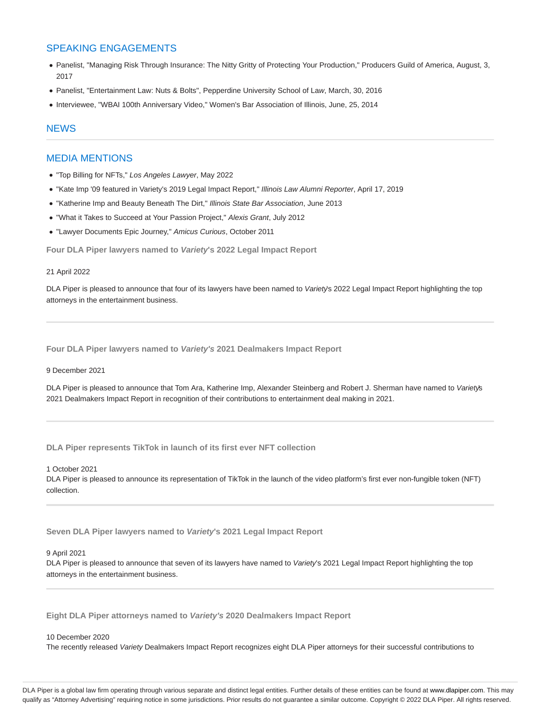# SPEAKING ENGAGEMENTS

- Panelist, "Managing Risk Through Insurance: The Nitty Gritty of Protecting Your Production," Producers Guild of America, August, 3, 2017
- Panelist, "Entertainment Law: Nuts & Bolts", Pepperdine University School of Law, March, 30, 2016
- Interviewee, "WBAI 100th Anniversary Video," Women's Bar Association of Illinois, June, 25, 2014

## **NEWS**

# MEDIA MENTIONS

- "Top Billing for NFTs," Los Angeles Lawyer, May 2022
- "Kate Imp '09 featured in Variety's 2019 Legal Impact Report," Illinois Law Alumni Reporter, April 17, 2019
- "Katherine Imp and Beauty Beneath The Dirt," Illinois State Bar Association, June 2013
- "What it Takes to Succeed at Your Passion Project," Alexis Grant, July 2012
- "Lawyer Documents Epic Journey," Amicus Curious, October 2011

**Four DLA Piper lawyers named to Variety's 2022 Legal Impact Report**

#### 21 April 2022

DLA Piper is pleased to announce that four of its lawyers have been named to Variety's 2022 Legal Impact Report highlighting the top attorneys in the entertainment business.

**Four DLA Piper lawyers named to Variety's 2021 Dealmakers Impact Report**

9 December 2021

DLA Piper is pleased to announce that Tom Ara, Katherine Imp, Alexander Steinberg and Robert J. Sherman have named to Variety's 2021 Dealmakers Impact Report in recognition of their contributions to entertainment deal making in 2021.

**DLA Piper represents TikTok in launch of its first ever NFT collection**

1 October 2021

DLA Piper is pleased to announce its representation of TikTok in the launch of the video platform's first ever non-fungible token (NFT) collection.

**Seven DLA Piper lawyers named to Variety's 2021 Legal Impact Report**

#### 9 April 2021

DLA Piper is pleased to announce that seven of its lawyers have named to Variety's 2021 Legal Impact Report highlighting the top attorneys in the entertainment business.

**Eight DLA Piper attorneys named to Variety's 2020 Dealmakers Impact Report**

#### 10 December 2020

The recently released Variety Dealmakers Impact Report recognizes eight DLA Piper attorneys for their successful contributions to

DLA Piper is a global law firm operating through various separate and distinct legal entities. Further details of these entities can be found at www.dlapiper.com. This may qualify as "Attorney Advertising" requiring notice in some jurisdictions. Prior results do not guarantee a similar outcome. Copyright © 2022 DLA Piper. All rights reserved.